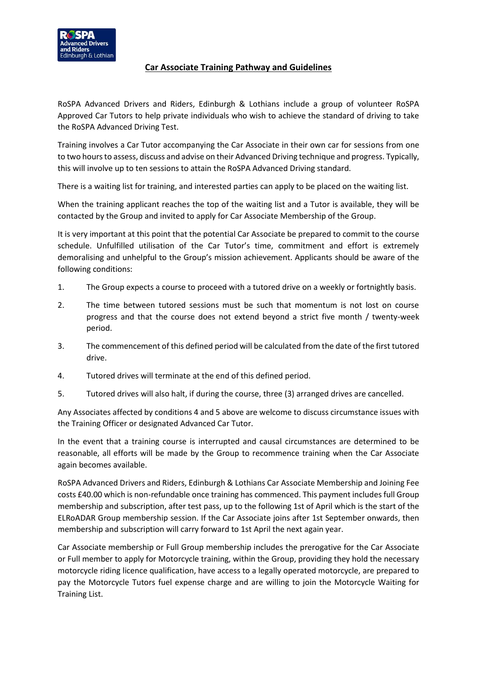

## **Car Associate Training Pathway and Guidelines**

RoSPA Advanced Drivers and Riders, Edinburgh & Lothians include a group of volunteer RoSPA Approved Car Tutors to help private individuals who wish to achieve the standard of driving to take the RoSPA Advanced Driving Test.

Training involves a Car Tutor accompanying the Car Associate in their own car for sessions from one to two hours to assess, discuss and advise on their Advanced Driving technique and progress. Typically, this will involve up to ten sessions to attain the RoSPA Advanced Driving standard.

There is a waiting list for training, and interested parties can apply to be placed on the waiting list.

When the training applicant reaches the top of the waiting list and a Tutor is available, they will be contacted by the Group and invited to apply for Car Associate Membership of the Group.

It is very important at this point that the potential Car Associate be prepared to commit to the course schedule. Unfulfilled utilisation of the Car Tutor's time, commitment and effort is extremely demoralising and unhelpful to the Group's mission achievement. Applicants should be aware of the following conditions:

- 1. The Group expects a course to proceed with a tutored drive on a weekly or fortnightly basis.
- 2. The time between tutored sessions must be such that momentum is not lost on course progress and that the course does not extend beyond a strict five month / twenty-week period.
- 3. The commencement of this defined period will be calculated from the date of the first tutored drive.
- 4. Tutored drives will terminate at the end of this defined period.
- 5. Tutored drives will also halt, if during the course, three (3) arranged drives are cancelled.

Any Associates affected by conditions 4 and 5 above are welcome to discuss circumstance issues with the Training Officer or designated Advanced Car Tutor.

In the event that a training course is interrupted and causal circumstances are determined to be reasonable, all efforts will be made by the Group to recommence training when the Car Associate again becomes available.

RoSPA Advanced Drivers and Riders, Edinburgh & Lothians Car Associate Membership and Joining Fee costs £40.00 which is non-refundable once training has commenced. This payment includes full Group membership and subscription, after test pass, up to the following 1st of April which is the start of the ELRoADAR Group membership session. If the Car Associate joins after 1st September onwards, then membership and subscription will carry forward to 1st April the next again year.

Car Associate membership or Full Group membership includes the prerogative for the Car Associate or Full member to apply for Motorcycle training, within the Group, providing they hold the necessary motorcycle riding licence qualification, have access to a legally operated motorcycle, are prepared to pay the Motorcycle Tutors fuel expense charge and are willing to join the Motorcycle Waiting for Training List.